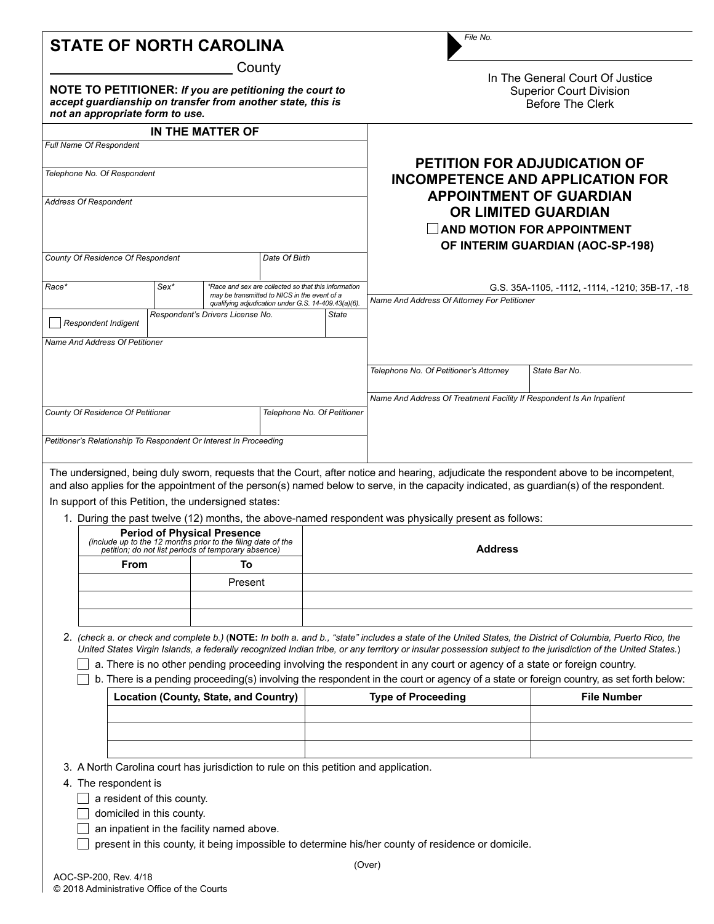| <b>STATE OF NORTH CAROLINA</b>                                                                                         | .                              |  |
|------------------------------------------------------------------------------------------------------------------------|--------------------------------|--|
| County                                                                                                                 | In The General Court Of Jus    |  |
| NOTE TO PETITIONER: If you are petitioning the court to<br>accept quardianship on transfer from another state, this is | <b>Superior Court Division</b> |  |
|                                                                                                                        | <b>Before The Clerk</b>        |  |

|                                                                   |                                                                                                                                                                       | IN THE MATTER OF |                                                                                                |                                                                                                                                         |  |                                        |                                                                                                                                          |
|-------------------------------------------------------------------|-----------------------------------------------------------------------------------------------------------------------------------------------------------------------|------------------|------------------------------------------------------------------------------------------------|-----------------------------------------------------------------------------------------------------------------------------------------|--|----------------------------------------|------------------------------------------------------------------------------------------------------------------------------------------|
| Full Name Of Respondent                                           |                                                                                                                                                                       |                  |                                                                                                |                                                                                                                                         |  |                                        |                                                                                                                                          |
| Telephone No. Of Respondent<br><b>Address Of Respondent</b>       |                                                                                                                                                                       |                  |                                                                                                | <b>PETITION FOR ADJUDICATION OF</b><br>INCOMPETENCE AND APPLICATION FOR<br><b>APPOINTMENT OF GUARDIAN</b><br><b>OR LIMITED GUARDIAN</b> |  |                                        |                                                                                                                                          |
|                                                                   |                                                                                                                                                                       |                  |                                                                                                |                                                                                                                                         |  |                                        |                                                                                                                                          |
| County Of Residence Of Respondent                                 |                                                                                                                                                                       |                  | Date Of Birth                                                                                  |                                                                                                                                         |  |                                        |                                                                                                                                          |
| Race*                                                             | $Sex*$<br>*Race and sex are collected so that this information<br>may be transmitted to NICS in the event of a<br>qualifying adjudication under G.S. 14-409.43(a)(6). |                  | G.S. 35A-1105, -1112, -1114, -1210; 35B-17, -18<br>Name And Address Of Attorney For Petitioner |                                                                                                                                         |  |                                        |                                                                                                                                          |
| <b>Respondent Indigent</b>                                        | Respondent's Drivers License No.<br><b>State</b>                                                                                                                      |                  |                                                                                                |                                                                                                                                         |  |                                        |                                                                                                                                          |
| Name And Address Of Petitioner                                    |                                                                                                                                                                       |                  |                                                                                                |                                                                                                                                         |  |                                        |                                                                                                                                          |
|                                                                   |                                                                                                                                                                       |                  |                                                                                                |                                                                                                                                         |  | Telephone No. Of Petitioner's Attorney | State Bar No.                                                                                                                            |
|                                                                   |                                                                                                                                                                       |                  |                                                                                                |                                                                                                                                         |  |                                        | Name And Address Of Treatment Facility If Respondent Is An Inpatient                                                                     |
| County Of Residence Of Petitioner<br>Telephone No. Of Petitioner  |                                                                                                                                                                       |                  |                                                                                                |                                                                                                                                         |  |                                        |                                                                                                                                          |
| Petitioner's Relationship To Respondent Or Interest In Proceeding |                                                                                                                                                                       |                  |                                                                                                |                                                                                                                                         |  |                                        |                                                                                                                                          |
|                                                                   |                                                                                                                                                                       |                  |                                                                                                |                                                                                                                                         |  |                                        | The undersigned, being duly sworn, requests that the Court, after notice and hearing, adjudicate the respondent above to be incompetent, |

*File No.*

т

**Of Justice** 

and also applies for the appointment of the person(s) named below to serve, in the capacity indicated, as guardian(s) of the respondent. In support of this Petition, the undersigned states:

1. During the past twelve (12) months, the above-named respondent was physically present as follows:

| <b>Period of Physical Presence</b><br>(include up to the 12 months prior to the filing date of the<br>petition; do not list periods of temporary absence) |         | <b>Address</b> |  |
|-----------------------------------------------------------------------------------------------------------------------------------------------------------|---------|----------------|--|
| From                                                                                                                                                      |         |                |  |
|                                                                                                                                                           | Present |                |  |
|                                                                                                                                                           |         |                |  |
|                                                                                                                                                           |         |                |  |

2. *(check a. or check and complete b.)* (**NOTE:** *In both a. and b., "state" includes a state of the United States, the District of Columbia, Puerto Rico, the United States Virgin Islands, a federally recognized Indian tribe, or any territory or insular possession subject to the jurisdiction of the United States.*)

 $\Box$  a. There is no other pending proceeding involving the respondent in any court or agency of a state or foreign country.

 $\Box$  b. There is a pending proceeding(s) involving the respondent in the court or agency of a state or foreign country, as set forth below:

| Location (County, State, and Country) | <b>Type of Proceeding</b> | <b>File Number</b> |
|---------------------------------------|---------------------------|--------------------|
|                                       |                           |                    |
|                                       |                           |                    |
|                                       |                           |                    |

3. A North Carolina court has jurisdiction to rule on this petition and application.

4. The respondent is

*not an appropriate form to use.*

 $\Box$  a resident of this county.

- domiciled in this county.
- $\Box$  an inpatient in the facility named above.

**present in this county, it being impossible to determine his/her county of residence or domicile.**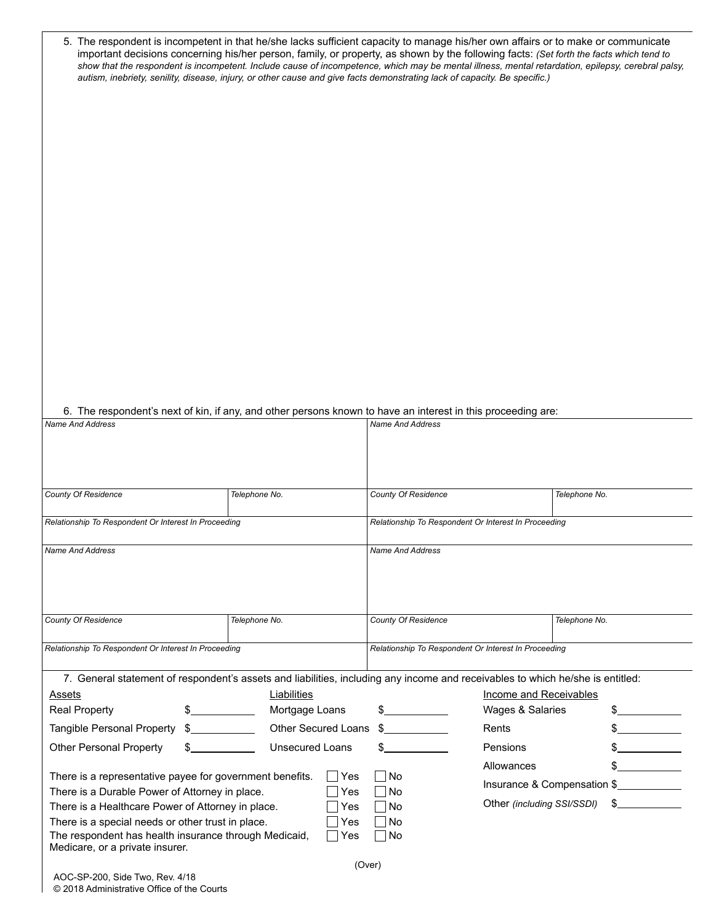| 5. The respondent is incompetent in that he/she lacks sufficient capacity to manage his/her own affairs or to make or communicate<br>important decisions concerning his/her person, family, or property, as shown by the following facts: (Set forth the facts which tend to<br>show that the respondent is incompetent. Include cause of incompetence, which may be mental illness, mental retardation, epilepsy, cerebral palsy,<br>autism, inebriety, senility, disease, injury, or other cause and give facts demonstrating lack of capacity. Be specific.) |                                                                                                                            |                            |                                                      |                             |               |               |
|-----------------------------------------------------------------------------------------------------------------------------------------------------------------------------------------------------------------------------------------------------------------------------------------------------------------------------------------------------------------------------------------------------------------------------------------------------------------------------------------------------------------------------------------------------------------|----------------------------------------------------------------------------------------------------------------------------|----------------------------|------------------------------------------------------|-----------------------------|---------------|---------------|
|                                                                                                                                                                                                                                                                                                                                                                                                                                                                                                                                                                 |                                                                                                                            |                            |                                                      |                             |               |               |
|                                                                                                                                                                                                                                                                                                                                                                                                                                                                                                                                                                 |                                                                                                                            |                            |                                                      |                             |               |               |
|                                                                                                                                                                                                                                                                                                                                                                                                                                                                                                                                                                 |                                                                                                                            |                            |                                                      |                             |               |               |
|                                                                                                                                                                                                                                                                                                                                                                                                                                                                                                                                                                 |                                                                                                                            |                            |                                                      |                             |               |               |
|                                                                                                                                                                                                                                                                                                                                                                                                                                                                                                                                                                 |                                                                                                                            |                            |                                                      |                             |               |               |
|                                                                                                                                                                                                                                                                                                                                                                                                                                                                                                                                                                 |                                                                                                                            |                            |                                                      |                             |               |               |
|                                                                                                                                                                                                                                                                                                                                                                                                                                                                                                                                                                 |                                                                                                                            |                            |                                                      |                             |               |               |
|                                                                                                                                                                                                                                                                                                                                                                                                                                                                                                                                                                 |                                                                                                                            |                            |                                                      |                             |               |               |
|                                                                                                                                                                                                                                                                                                                                                                                                                                                                                                                                                                 |                                                                                                                            |                            |                                                      |                             |               |               |
|                                                                                                                                                                                                                                                                                                                                                                                                                                                                                                                                                                 |                                                                                                                            |                            |                                                      |                             |               |               |
|                                                                                                                                                                                                                                                                                                                                                                                                                                                                                                                                                                 |                                                                                                                            |                            |                                                      |                             |               |               |
|                                                                                                                                                                                                                                                                                                                                                                                                                                                                                                                                                                 |                                                                                                                            |                            |                                                      |                             |               |               |
|                                                                                                                                                                                                                                                                                                                                                                                                                                                                                                                                                                 |                                                                                                                            |                            |                                                      |                             |               |               |
|                                                                                                                                                                                                                                                                                                                                                                                                                                                                                                                                                                 |                                                                                                                            |                            |                                                      |                             |               |               |
|                                                                                                                                                                                                                                                                                                                                                                                                                                                                                                                                                                 |                                                                                                                            |                            |                                                      |                             |               |               |
|                                                                                                                                                                                                                                                                                                                                                                                                                                                                                                                                                                 |                                                                                                                            |                            |                                                      |                             |               |               |
|                                                                                                                                                                                                                                                                                                                                                                                                                                                                                                                                                                 |                                                                                                                            |                            |                                                      |                             |               |               |
|                                                                                                                                                                                                                                                                                                                                                                                                                                                                                                                                                                 |                                                                                                                            |                            |                                                      |                             |               |               |
| 6. The respondent's next of kin, if any, and other persons known to have an interest in this proceeding are:<br><b>Name And Address</b>                                                                                                                                                                                                                                                                                                                                                                                                                         |                                                                                                                            |                            | <b>Name And Address</b>                              |                             |               |               |
|                                                                                                                                                                                                                                                                                                                                                                                                                                                                                                                                                                 |                                                                                                                            |                            |                                                      |                             |               |               |
|                                                                                                                                                                                                                                                                                                                                                                                                                                                                                                                                                                 |                                                                                                                            |                            |                                                      |                             |               |               |
|                                                                                                                                                                                                                                                                                                                                                                                                                                                                                                                                                                 |                                                                                                                            |                            |                                                      |                             |               |               |
|                                                                                                                                                                                                                                                                                                                                                                                                                                                                                                                                                                 |                                                                                                                            |                            |                                                      |                             |               |               |
| <b>County Of Residence</b>                                                                                                                                                                                                                                                                                                                                                                                                                                                                                                                                      | Telephone No.                                                                                                              |                            | <b>County Of Residence</b>                           |                             | Telephone No. |               |
| Relationship To Respondent Or Interest In Proceeding                                                                                                                                                                                                                                                                                                                                                                                                                                                                                                            |                                                                                                                            |                            | Relationship To Respondent Or Interest In Proceeding |                             |               |               |
|                                                                                                                                                                                                                                                                                                                                                                                                                                                                                                                                                                 |                                                                                                                            |                            |                                                      |                             |               |               |
| <b>Name And Address</b>                                                                                                                                                                                                                                                                                                                                                                                                                                                                                                                                         |                                                                                                                            |                            | <b>Name And Address</b>                              |                             |               |               |
|                                                                                                                                                                                                                                                                                                                                                                                                                                                                                                                                                                 |                                                                                                                            |                            |                                                      |                             |               |               |
|                                                                                                                                                                                                                                                                                                                                                                                                                                                                                                                                                                 |                                                                                                                            |                            |                                                      |                             |               |               |
|                                                                                                                                                                                                                                                                                                                                                                                                                                                                                                                                                                 |                                                                                                                            |                            |                                                      |                             |               |               |
| <b>County Of Residence</b>                                                                                                                                                                                                                                                                                                                                                                                                                                                                                                                                      | Telephone No.                                                                                                              |                            | <b>County Of Residence</b>                           |                             | Telephone No. |               |
| Relationship To Respondent Or Interest In Proceeding                                                                                                                                                                                                                                                                                                                                                                                                                                                                                                            |                                                                                                                            |                            | Relationship To Respondent Or Interest In Proceeding |                             |               |               |
|                                                                                                                                                                                                                                                                                                                                                                                                                                                                                                                                                                 |                                                                                                                            |                            |                                                      |                             |               |               |
| 7. General statement of respondent's assets and liabilities, including any income and receivables to which he/she is entitled:                                                                                                                                                                                                                                                                                                                                                                                                                                  |                                                                                                                            |                            |                                                      |                             |               |               |
| Assets                                                                                                                                                                                                                                                                                                                                                                                                                                                                                                                                                          | Liabilities                                                                                                                |                            |                                                      | Income and Receivables      |               |               |
| <b>Real Property</b>                                                                                                                                                                                                                                                                                                                                                                                                                                                                                                                                            | $\mathcal{L}^{\mathcal{L}}(\mathcal{L}^{\mathcal{L}})$ . The set of $\mathcal{L}^{\mathcal{L}}(\mathcal{L}^{\mathcal{L}})$ | Mortgage Loans             | $\sim$ $\sim$                                        | Wages & Salaries            |               | $\frac{1}{2}$ |
| Tangible Personal Property                                                                                                                                                                                                                                                                                                                                                                                                                                                                                                                                      | $\sim$                                                                                                                     | Other Secured Loans        | $\frac{1}{2}$                                        | Rents                       |               |               |
| <b>Other Personal Property</b>                                                                                                                                                                                                                                                                                                                                                                                                                                                                                                                                  |                                                                                                                            | <b>Unsecured Loans</b>     |                                                      | Pensions                    |               |               |
|                                                                                                                                                                                                                                                                                                                                                                                                                                                                                                                                                                 |                                                                                                                            |                            |                                                      | Allowances                  |               |               |
| There is a representative payee for government benefits.                                                                                                                                                                                                                                                                                                                                                                                                                                                                                                        | l No                                                                                                                       |                            |                                                      |                             |               |               |
| There is a Durable Power of Attorney in place.                                                                                                                                                                                                                                                                                                                                                                                                                                                                                                                  | l No                                                                                                                       |                            |                                                      | Insurance & Compensation \$ |               |               |
| There is a Healthcare Power of Attorney in place.                                                                                                                                                                                                                                                                                                                                                                                                                                                                                                               | No                                                                                                                         | Other (including SSI/SSDI) |                                                      | $s \sim$                    |               |               |
| There is a special needs or other trust in place.                                                                                                                                                                                                                                                                                                                                                                                                                                                                                                               | l No                                                                                                                       |                            |                                                      |                             |               |               |
| The respondent has health insurance through Medicaid,<br>l No<br>Yes<br>Medicare, or a private insurer.                                                                                                                                                                                                                                                                                                                                                                                                                                                         |                                                                                                                            |                            |                                                      |                             |               |               |
|                                                                                                                                                                                                                                                                                                                                                                                                                                                                                                                                                                 |                                                                                                                            |                            | (Over)                                               |                             |               |               |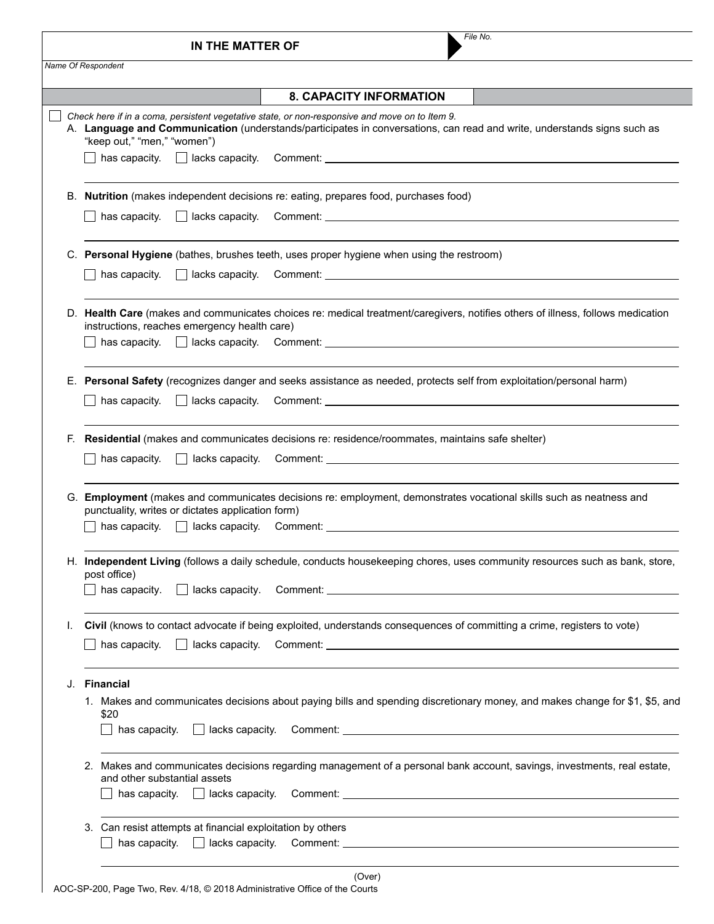| Name Of Respondent<br><b>8. CAPACITY INFORMATION</b><br>Check here if in a coma, persistent vegetative state, or non-responsive and move on to Item 9.<br>A. Language and Communication (understands/participates in conversations, can read and write, understands signs such as<br>"keep out," "men," "women")<br>Nutrition (makes independent decisions re: eating, prepares food, purchases food)<br>В.<br>C. Personal Hygiene (bathes, brushes teeth, uses proper hygiene when using the restroom)<br>$\Box$ lacks capacity.<br>has capacity.<br>D. Health Care (makes and communicates choices re: medical treatment/caregivers, notifies others of illness, follows medication<br>instructions, reaches emergency health care)<br>has capacity. A lacks capacity. Comment: <u>A lack of the community of the capacity</u> of the lack of the community of the community of the community of the community of the community of the community of the community of the c<br>E. Personal Safety (recognizes danger and seeks assistance as needed, protects self from exploitation/personal harm)<br>$\Box$ lacks capacity.<br>has capacity.<br>Residential (makes and communicates decisions re: residence/roommates, maintains safe shelter)<br>F.<br>G. Employment (makes and communicates decisions re: employment, demonstrates vocational skills such as neatness and<br>punctuality, writes or dictates application form)<br>has capacity. $\Box$ lacks capacity. Comment: $\Box$ and $\Box$ and $\Box$ and $\Box$ and $\Box$ and $\Box$ and $\Box$ and $\Box$ and $\Box$ and $\Box$ and $\Box$ and $\Box$ and $\Box$ and $\Box$ and $\Box$ and $\Box$ and $\Box$ and $\Box$ and $\Box$ and $\Box$ a<br>H. Independent Living (follows a daily schedule, conducts housekeeping chores, uses community resources such as bank, store,<br>post office)<br>$\Box$ lacks capacity.<br>has capacity.<br>Comment: Comment Comment Comment Comment Comment Comment Comment Comment Comment Comment Comment Comment Comment Comment Comment Comment Comment Comment Comment Comment Comment Comment Comment Comment Comment Comment Comme<br>Civil (knows to contact advocate if being exploited, understands consequences of committing a crime, registers to vote)<br>L.<br>has capacity.<br>$\perp$<br><b>Financial</b><br>J.<br>\$20<br>$\Box$ lacks capacity.<br>has capacity.<br>2. Makes and communicates decisions regarding management of a personal bank account, savings, investments, real estate,<br>and other substantial assets<br>has capacity. $\Box$ lacks capacity.<br>Comment: the comment of the comment of the comment of the comment of the comment of the comment of the comment<br>3. Can resist attempts at financial exploitation by others<br>has capacity.<br>$\Box$ lacks capacity. | File No.<br>IN THE MATTER OF                                                                                                |
|---------------------------------------------------------------------------------------------------------------------------------------------------------------------------------------------------------------------------------------------------------------------------------------------------------------------------------------------------------------------------------------------------------------------------------------------------------------------------------------------------------------------------------------------------------------------------------------------------------------------------------------------------------------------------------------------------------------------------------------------------------------------------------------------------------------------------------------------------------------------------------------------------------------------------------------------------------------------------------------------------------------------------------------------------------------------------------------------------------------------------------------------------------------------------------------------------------------------------------------------------------------------------------------------------------------------------------------------------------------------------------------------------------------------------------------------------------------------------------------------------------------------------------------------------------------------------------------------------------------------------------------------------------------------------------------------------------------------------------------------------------------------------------------------------------------------------------------------------------------------------------------------------------------------------------------------------------------------------------------------------------------------------------------------------------------------------------------------------------------------------------------------------------------------------------------------------------------------------------------------------------------------------------------------------------------------------------------------------------------------------------------------------------------------------------------------------------------------------------------------------------------------------------------------------------------------------------------------------------------------------------------------------------------------------------------------------------------------------------------------------------------------------------------------------------------------|-----------------------------------------------------------------------------------------------------------------------------|
|                                                                                                                                                                                                                                                                                                                                                                                                                                                                                                                                                                                                                                                                                                                                                                                                                                                                                                                                                                                                                                                                                                                                                                                                                                                                                                                                                                                                                                                                                                                                                                                                                                                                                                                                                                                                                                                                                                                                                                                                                                                                                                                                                                                                                                                                                                                                                                                                                                                                                                                                                                                                                                                                                                                                                                                                                     |                                                                                                                             |
|                                                                                                                                                                                                                                                                                                                                                                                                                                                                                                                                                                                                                                                                                                                                                                                                                                                                                                                                                                                                                                                                                                                                                                                                                                                                                                                                                                                                                                                                                                                                                                                                                                                                                                                                                                                                                                                                                                                                                                                                                                                                                                                                                                                                                                                                                                                                                                                                                                                                                                                                                                                                                                                                                                                                                                                                                     |                                                                                                                             |
|                                                                                                                                                                                                                                                                                                                                                                                                                                                                                                                                                                                                                                                                                                                                                                                                                                                                                                                                                                                                                                                                                                                                                                                                                                                                                                                                                                                                                                                                                                                                                                                                                                                                                                                                                                                                                                                                                                                                                                                                                                                                                                                                                                                                                                                                                                                                                                                                                                                                                                                                                                                                                                                                                                                                                                                                                     |                                                                                                                             |
|                                                                                                                                                                                                                                                                                                                                                                                                                                                                                                                                                                                                                                                                                                                                                                                                                                                                                                                                                                                                                                                                                                                                                                                                                                                                                                                                                                                                                                                                                                                                                                                                                                                                                                                                                                                                                                                                                                                                                                                                                                                                                                                                                                                                                                                                                                                                                                                                                                                                                                                                                                                                                                                                                                                                                                                                                     |                                                                                                                             |
|                                                                                                                                                                                                                                                                                                                                                                                                                                                                                                                                                                                                                                                                                                                                                                                                                                                                                                                                                                                                                                                                                                                                                                                                                                                                                                                                                                                                                                                                                                                                                                                                                                                                                                                                                                                                                                                                                                                                                                                                                                                                                                                                                                                                                                                                                                                                                                                                                                                                                                                                                                                                                                                                                                                                                                                                                     |                                                                                                                             |
|                                                                                                                                                                                                                                                                                                                                                                                                                                                                                                                                                                                                                                                                                                                                                                                                                                                                                                                                                                                                                                                                                                                                                                                                                                                                                                                                                                                                                                                                                                                                                                                                                                                                                                                                                                                                                                                                                                                                                                                                                                                                                                                                                                                                                                                                                                                                                                                                                                                                                                                                                                                                                                                                                                                                                                                                                     |                                                                                                                             |
|                                                                                                                                                                                                                                                                                                                                                                                                                                                                                                                                                                                                                                                                                                                                                                                                                                                                                                                                                                                                                                                                                                                                                                                                                                                                                                                                                                                                                                                                                                                                                                                                                                                                                                                                                                                                                                                                                                                                                                                                                                                                                                                                                                                                                                                                                                                                                                                                                                                                                                                                                                                                                                                                                                                                                                                                                     |                                                                                                                             |
|                                                                                                                                                                                                                                                                                                                                                                                                                                                                                                                                                                                                                                                                                                                                                                                                                                                                                                                                                                                                                                                                                                                                                                                                                                                                                                                                                                                                                                                                                                                                                                                                                                                                                                                                                                                                                                                                                                                                                                                                                                                                                                                                                                                                                                                                                                                                                                                                                                                                                                                                                                                                                                                                                                                                                                                                                     |                                                                                                                             |
|                                                                                                                                                                                                                                                                                                                                                                                                                                                                                                                                                                                                                                                                                                                                                                                                                                                                                                                                                                                                                                                                                                                                                                                                                                                                                                                                                                                                                                                                                                                                                                                                                                                                                                                                                                                                                                                                                                                                                                                                                                                                                                                                                                                                                                                                                                                                                                                                                                                                                                                                                                                                                                                                                                                                                                                                                     |                                                                                                                             |
|                                                                                                                                                                                                                                                                                                                                                                                                                                                                                                                                                                                                                                                                                                                                                                                                                                                                                                                                                                                                                                                                                                                                                                                                                                                                                                                                                                                                                                                                                                                                                                                                                                                                                                                                                                                                                                                                                                                                                                                                                                                                                                                                                                                                                                                                                                                                                                                                                                                                                                                                                                                                                                                                                                                                                                                                                     |                                                                                                                             |
|                                                                                                                                                                                                                                                                                                                                                                                                                                                                                                                                                                                                                                                                                                                                                                                                                                                                                                                                                                                                                                                                                                                                                                                                                                                                                                                                                                                                                                                                                                                                                                                                                                                                                                                                                                                                                                                                                                                                                                                                                                                                                                                                                                                                                                                                                                                                                                                                                                                                                                                                                                                                                                                                                                                                                                                                                     |                                                                                                                             |
|                                                                                                                                                                                                                                                                                                                                                                                                                                                                                                                                                                                                                                                                                                                                                                                                                                                                                                                                                                                                                                                                                                                                                                                                                                                                                                                                                                                                                                                                                                                                                                                                                                                                                                                                                                                                                                                                                                                                                                                                                                                                                                                                                                                                                                                                                                                                                                                                                                                                                                                                                                                                                                                                                                                                                                                                                     |                                                                                                                             |
|                                                                                                                                                                                                                                                                                                                                                                                                                                                                                                                                                                                                                                                                                                                                                                                                                                                                                                                                                                                                                                                                                                                                                                                                                                                                                                                                                                                                                                                                                                                                                                                                                                                                                                                                                                                                                                                                                                                                                                                                                                                                                                                                                                                                                                                                                                                                                                                                                                                                                                                                                                                                                                                                                                                                                                                                                     |                                                                                                                             |
|                                                                                                                                                                                                                                                                                                                                                                                                                                                                                                                                                                                                                                                                                                                                                                                                                                                                                                                                                                                                                                                                                                                                                                                                                                                                                                                                                                                                                                                                                                                                                                                                                                                                                                                                                                                                                                                                                                                                                                                                                                                                                                                                                                                                                                                                                                                                                                                                                                                                                                                                                                                                                                                                                                                                                                                                                     |                                                                                                                             |
|                                                                                                                                                                                                                                                                                                                                                                                                                                                                                                                                                                                                                                                                                                                                                                                                                                                                                                                                                                                                                                                                                                                                                                                                                                                                                                                                                                                                                                                                                                                                                                                                                                                                                                                                                                                                                                                                                                                                                                                                                                                                                                                                                                                                                                                                                                                                                                                                                                                                                                                                                                                                                                                                                                                                                                                                                     |                                                                                                                             |
|                                                                                                                                                                                                                                                                                                                                                                                                                                                                                                                                                                                                                                                                                                                                                                                                                                                                                                                                                                                                                                                                                                                                                                                                                                                                                                                                                                                                                                                                                                                                                                                                                                                                                                                                                                                                                                                                                                                                                                                                                                                                                                                                                                                                                                                                                                                                                                                                                                                                                                                                                                                                                                                                                                                                                                                                                     |                                                                                                                             |
|                                                                                                                                                                                                                                                                                                                                                                                                                                                                                                                                                                                                                                                                                                                                                                                                                                                                                                                                                                                                                                                                                                                                                                                                                                                                                                                                                                                                                                                                                                                                                                                                                                                                                                                                                                                                                                                                                                                                                                                                                                                                                                                                                                                                                                                                                                                                                                                                                                                                                                                                                                                                                                                                                                                                                                                                                     |                                                                                                                             |
|                                                                                                                                                                                                                                                                                                                                                                                                                                                                                                                                                                                                                                                                                                                                                                                                                                                                                                                                                                                                                                                                                                                                                                                                                                                                                                                                                                                                                                                                                                                                                                                                                                                                                                                                                                                                                                                                                                                                                                                                                                                                                                                                                                                                                                                                                                                                                                                                                                                                                                                                                                                                                                                                                                                                                                                                                     |                                                                                                                             |
|                                                                                                                                                                                                                                                                                                                                                                                                                                                                                                                                                                                                                                                                                                                                                                                                                                                                                                                                                                                                                                                                                                                                                                                                                                                                                                                                                                                                                                                                                                                                                                                                                                                                                                                                                                                                                                                                                                                                                                                                                                                                                                                                                                                                                                                                                                                                                                                                                                                                                                                                                                                                                                                                                                                                                                                                                     |                                                                                                                             |
|                                                                                                                                                                                                                                                                                                                                                                                                                                                                                                                                                                                                                                                                                                                                                                                                                                                                                                                                                                                                                                                                                                                                                                                                                                                                                                                                                                                                                                                                                                                                                                                                                                                                                                                                                                                                                                                                                                                                                                                                                                                                                                                                                                                                                                                                                                                                                                                                                                                                                                                                                                                                                                                                                                                                                                                                                     |                                                                                                                             |
|                                                                                                                                                                                                                                                                                                                                                                                                                                                                                                                                                                                                                                                                                                                                                                                                                                                                                                                                                                                                                                                                                                                                                                                                                                                                                                                                                                                                                                                                                                                                                                                                                                                                                                                                                                                                                                                                                                                                                                                                                                                                                                                                                                                                                                                                                                                                                                                                                                                                                                                                                                                                                                                                                                                                                                                                                     |                                                                                                                             |
|                                                                                                                                                                                                                                                                                                                                                                                                                                                                                                                                                                                                                                                                                                                                                                                                                                                                                                                                                                                                                                                                                                                                                                                                                                                                                                                                                                                                                                                                                                                                                                                                                                                                                                                                                                                                                                                                                                                                                                                                                                                                                                                                                                                                                                                                                                                                                                                                                                                                                                                                                                                                                                                                                                                                                                                                                     | 1. Makes and communicates decisions about paying bills and spending discretionary money, and makes change for \$1, \$5, and |
|                                                                                                                                                                                                                                                                                                                                                                                                                                                                                                                                                                                                                                                                                                                                                                                                                                                                                                                                                                                                                                                                                                                                                                                                                                                                                                                                                                                                                                                                                                                                                                                                                                                                                                                                                                                                                                                                                                                                                                                                                                                                                                                                                                                                                                                                                                                                                                                                                                                                                                                                                                                                                                                                                                                                                                                                                     |                                                                                                                             |
|                                                                                                                                                                                                                                                                                                                                                                                                                                                                                                                                                                                                                                                                                                                                                                                                                                                                                                                                                                                                                                                                                                                                                                                                                                                                                                                                                                                                                                                                                                                                                                                                                                                                                                                                                                                                                                                                                                                                                                                                                                                                                                                                                                                                                                                                                                                                                                                                                                                                                                                                                                                                                                                                                                                                                                                                                     |                                                                                                                             |
|                                                                                                                                                                                                                                                                                                                                                                                                                                                                                                                                                                                                                                                                                                                                                                                                                                                                                                                                                                                                                                                                                                                                                                                                                                                                                                                                                                                                                                                                                                                                                                                                                                                                                                                                                                                                                                                                                                                                                                                                                                                                                                                                                                                                                                                                                                                                                                                                                                                                                                                                                                                                                                                                                                                                                                                                                     |                                                                                                                             |
|                                                                                                                                                                                                                                                                                                                                                                                                                                                                                                                                                                                                                                                                                                                                                                                                                                                                                                                                                                                                                                                                                                                                                                                                                                                                                                                                                                                                                                                                                                                                                                                                                                                                                                                                                                                                                                                                                                                                                                                                                                                                                                                                                                                                                                                                                                                                                                                                                                                                                                                                                                                                                                                                                                                                                                                                                     |                                                                                                                             |